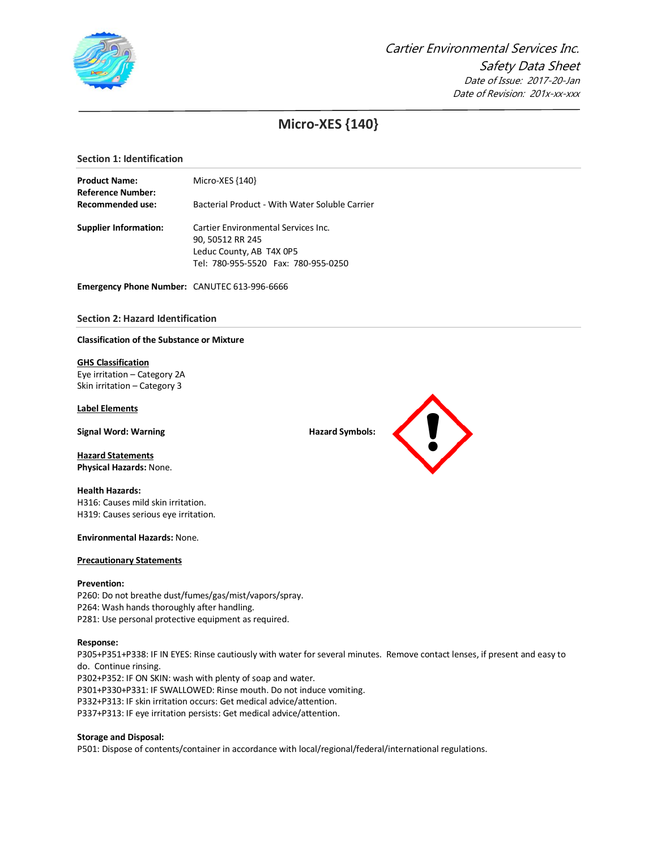

# **Micro-XES {140}**

# **Section 1: Identification**

| <b>Product Name:</b>                                | Micro-XES {140}                                                 |  |  |  |
|-----------------------------------------------------|-----------------------------------------------------------------|--|--|--|
| <b>Reference Number:</b><br><b>Recommended use:</b> | Bacterial Product - With Water Soluble Carrier                  |  |  |  |
| <b>Supplier Information:</b>                        | Cartier Environmental Services Inc.<br>90, 50512 RR 245         |  |  |  |
|                                                     | Leduc County, AB T4X 0P5<br>Tel: 780-955-5520 Fax: 780-955-0250 |  |  |  |

**Emergency Phone Number:** CANUTEC 613-996-6666

# **Section 2: Hazard Identification**

#### **Classification of the Substance or Mixture**

## **GHS Classification**

Eye irritation – Category 2A Skin irritation – Category 3

#### **Label Elements**

**Signal Word: Warning Hazard Symbols: Hazard Symbols: Hazard Symbols: Hazard Symbols: Hazard Symbols: Hazard Symbols: Hazard Symbols: Hazard Symbols: Hazard Symbols: Hazard Symbols: Hazard Sym** 

**Hazard Statements Physical Hazards:** None.

# **Health Hazards:** H316: Causes mild skin irritation. H319: Causes serious eye irritation.

**Environmental Hazards:** None.

#### **Precautionary Statements**

# **Prevention:**

P260: Do not breathe dust/fumes/gas/mist/vapors/spray. P264: Wash hands thoroughly after handling. P281: Use personal protective equipment as required.

#### **Response:**

P305+P351+P338: IF IN EYES: Rinse cautiously with water for several minutes. Remove contact lenses, if present and easy to do. Continue rinsing. P302+P352: IF ON SKIN: wash with plenty of soap and water. P301+P330+P331: IF SWALLOWED: Rinse mouth. Do not induce vomiting. P332+P313: IF skin irritation occurs: Get medical advice/attention. P337+P313: IF eye irritation persists: Get medical advice/attention.

## **Storage and Disposal:**

P501: Dispose of contents/container in accordance with local/regional/federal/international regulations.

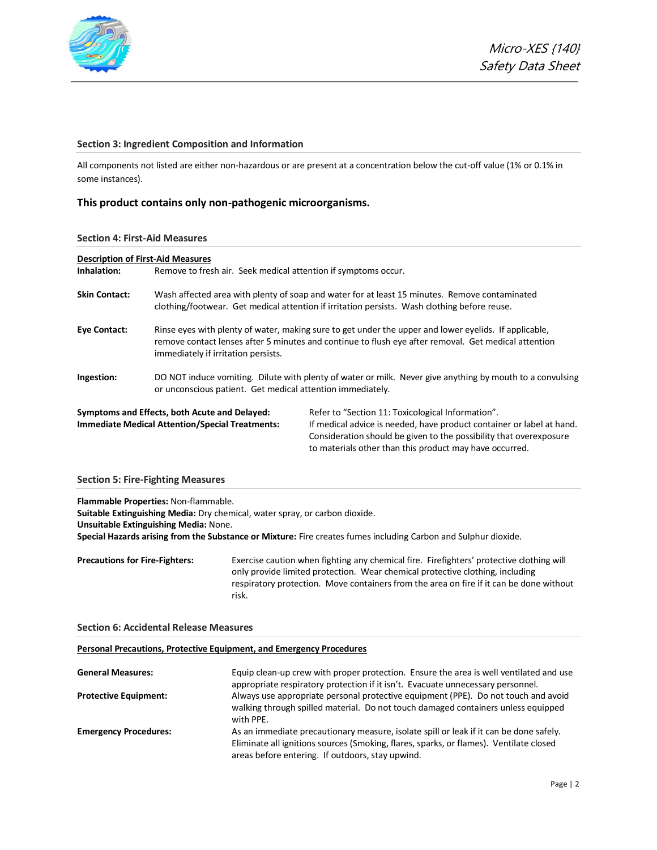

# **Section 3: Ingredient Composition and Information**

All components not listed are either non-hazardous or are present at a concentration below the cut-off value (1% or 0.1% in some instances).

# **This product contains only non-pathogenic microorganisms.**

#### **Section 4: First-Aid Measures**

| <b>Description of First-Aid Measures</b> |                                                                                                                                                                                               |                                                                                                                                                                                                                                                             |  |  |
|------------------------------------------|-----------------------------------------------------------------------------------------------------------------------------------------------------------------------------------------------|-------------------------------------------------------------------------------------------------------------------------------------------------------------------------------------------------------------------------------------------------------------|--|--|
| Inhalation:                              | Remove to fresh air. Seek medical attention if symptoms occur.                                                                                                                                |                                                                                                                                                                                                                                                             |  |  |
| <b>Skin Contact:</b>                     | Wash affected area with plenty of soap and water for at least 15 minutes. Remove contaminated<br>clothing/footwear. Get medical attention if irritation persists. Wash clothing before reuse. |                                                                                                                                                                                                                                                             |  |  |
| <b>Eye Contact:</b>                      | immediately if irritation persists.                                                                                                                                                           | Rinse eyes with plenty of water, making sure to get under the upper and lower eyelids. If applicable,<br>remove contact lenses after 5 minutes and continue to flush eye after removal. Get medical attention                                               |  |  |
| Ingestion:                               | or unconscious patient. Get medical attention immediately.                                                                                                                                    | DO NOT induce vomiting. Dilute with plenty of water or milk. Never give anything by mouth to a convulsing                                                                                                                                                   |  |  |
|                                          | Symptoms and Effects, both Acute and Delayed:<br><b>Immediate Medical Attention/Special Treatments:</b>                                                                                       | Refer to "Section 11: Toxicological Information".<br>If medical advice is needed, have product container or label at hand.<br>Consideration should be given to the possibility that overexposure<br>to materials other than this product may have occurred. |  |  |

# **Section 5: Fire-Fighting Measures**

**Flammable Properties:** Non-flammable.

**Suitable Extinguishing Media:** Dry chemical, water spray, or carbon dioxide. **Unsuitable Extinguishing Media:** None. **Special Hazards arising from the Substance or Mixture:** Fire creates fumes including Carbon and Sulphur dioxide.

**Precautions for Fire-Fighters:** Exercise caution when fighting any chemical fire. Firefighters' protective clothing will only provide limited protection. Wear chemical protective clothing, including respiratory protection. Move containers from the area on fire if it can be done without risk.

## **Section 6: Accidental Release Measures**

# **Personal Precautions, Protective Equipment, and Emergency Procedures**

| <b>General Measures:</b>     | Equip clean-up crew with proper protection. Ensure the area is well ventilated and use<br>appropriate respiratory protection if it isn't. Evacuate unnecessary personnel.                                                            |
|------------------------------|--------------------------------------------------------------------------------------------------------------------------------------------------------------------------------------------------------------------------------------|
| <b>Protective Equipment:</b> | Always use appropriate personal protective equipment (PPE). Do not touch and avoid<br>walking through spilled material. Do not touch damaged containers unless equipped<br>with PPE.                                                 |
| <b>Emergency Procedures:</b> | As an immediate precautionary measure, isolate spill or leak if it can be done safely.<br>Eliminate all ignitions sources (Smoking, flares, sparks, or flames). Ventilate closed<br>areas before entering. If outdoors, stay upwind. |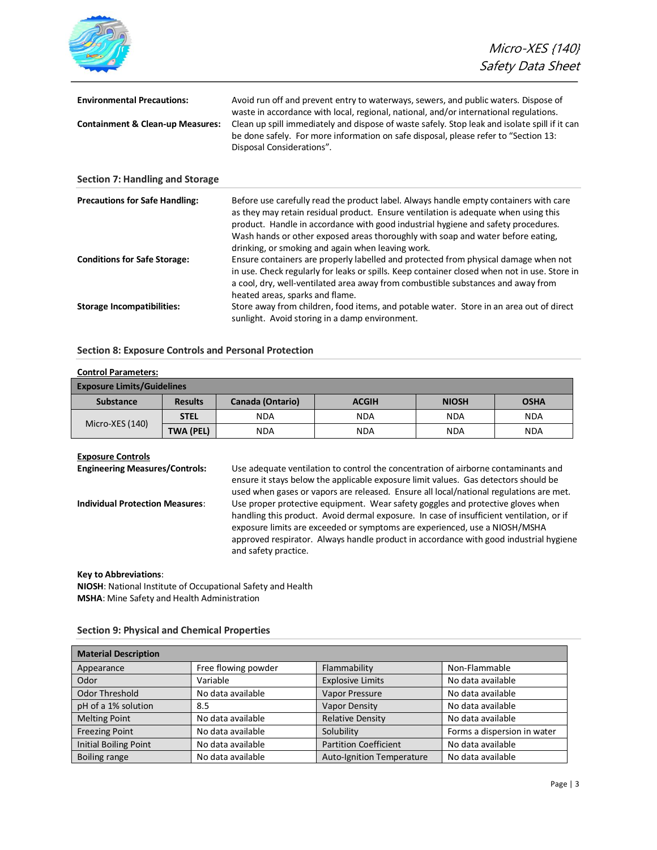|                                                                                  | Micro-XES {140}<br>Safety Data Sheet                                                                                                                                                                                                                                                                                                                                                                      |
|----------------------------------------------------------------------------------|-----------------------------------------------------------------------------------------------------------------------------------------------------------------------------------------------------------------------------------------------------------------------------------------------------------------------------------------------------------------------------------------------------------|
| <b>Environmental Precautions:</b><br><b>Containment &amp; Clean-up Measures:</b> | Avoid run off and prevent entry to waterways, sewers, and public waters. Dispose of<br>waste in accordance with local, regional, national, and/or international regulations.<br>Clean up spill immediately and dispose of waste safely. Stop leak and isolate spill if it can<br>be done safely. For more information on safe disposal, please refer to "Section 13:<br>Disposal Considerations".         |
| <b>Section 7: Handling and Storage</b>                                           |                                                                                                                                                                                                                                                                                                                                                                                                           |
| <b>Precautions for Safe Handling:</b>                                            | Before use carefully read the product label. Always handle empty containers with care<br>as they may retain residual product. Ensure ventilation is adequate when using this<br>product. Handle in accordance with good industrial hygiene and safety procedures.<br>Wash hands or other exposed areas thoroughly with soap and water before eating,<br>drinking, or smoking and again when leaving work. |
| <b>Conditions for Safe Storage:</b>                                              | Ensure containers are properly labelled and protected from physical damage when not<br>in use. Check regularly for leaks or spills. Keep container closed when not in use. Store in<br>a cool, dry, well-ventilated area away from combustible substances and away from<br>heated areas, sparks and flame.                                                                                                |
| <b>Storage Incompatibilities:</b>                                                | Store away from children, food items, and potable water. Store in an area out of direct<br>sunlight. Avoid storing in a damp environment.                                                                                                                                                                                                                                                                 |

# **Section 8: Exposure Controls and Personal Protection**

| <b>Control Parameters:</b>        |                  |                                                                        |            |            |            |  |  |  |
|-----------------------------------|------------------|------------------------------------------------------------------------|------------|------------|------------|--|--|--|
| <b>Exposure Limits/Guidelines</b> |                  |                                                                        |            |            |            |  |  |  |
| <b>Substance</b>                  | <b>Results</b>   | <b>Canada (Ontario)</b><br><b>NIOSH</b><br><b>OSHA</b><br><b>ACGIH</b> |            |            |            |  |  |  |
|                                   | <b>STEL</b>      | <b>NDA</b>                                                             | <b>NDA</b> | <b>NDA</b> | <b>NDA</b> |  |  |  |
| Micro-XES (140)                   | <b>TWA (PEL)</b> | <b>NDA</b>                                                             | <b>NDA</b> | <b>NDA</b> | <b>NDA</b> |  |  |  |

**Exposure Controls<br>Engineering Measures/Controls:** 

Use adequate ventilation to control the concentration of airborne contaminants and ensure it stays below the applicable exposure limit values. Gas detectors should be used when gases or vapors are released. Ensure all local/national regulations are met. **Individual Protection Measures**: Use proper protective equipment. Wear safety goggles and protective gloves when handling this product. Avoid dermal exposure. In case of insufficient ventilation, or if exposure limits are exceeded or symptoms are experienced, use a NIOSH/MSHA approved respirator. Always handle product in accordance with good industrial hygiene and safety practice.

# **Key to Abbreviations**:

**NIOSH**: National Institute of Occupational Safety and Health **MSHA**: Mine Safety and Health Administration

| <b>Material Description</b>  |                     |                                  |                             |  |  |  |
|------------------------------|---------------------|----------------------------------|-----------------------------|--|--|--|
| Appearance                   | Free flowing powder | Flammability                     | Non-Flammable               |  |  |  |
| Odor                         | Variable            | <b>Explosive Limits</b>          | No data available           |  |  |  |
| Odor Threshold               | No data available   | Vapor Pressure                   | No data available           |  |  |  |
| pH of a 1% solution          | 8.5                 | Vapor Density                    | No data available           |  |  |  |
| <b>Melting Point</b>         | No data available   | <b>Relative Density</b>          | No data available           |  |  |  |
| <b>Freezing Point</b>        | No data available   | Solubility                       | Forms a dispersion in water |  |  |  |
| <b>Initial Boiling Point</b> | No data available   | <b>Partition Coefficient</b>     | No data available           |  |  |  |
| <b>Boiling range</b>         | No data available   | <b>Auto-Ignition Temperature</b> | No data available           |  |  |  |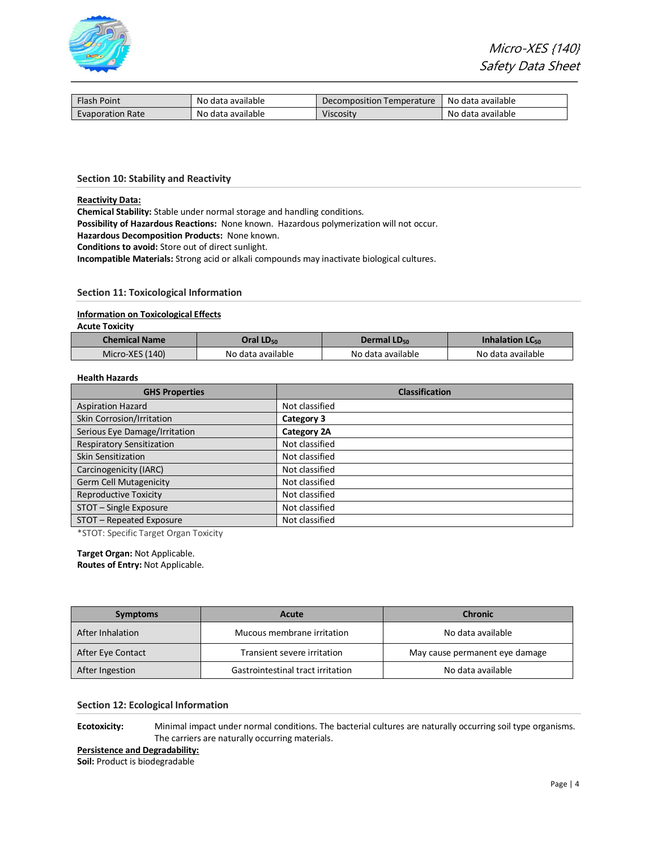

| Flash Point             | No data available | Decomposition Temperature | No data available |
|-------------------------|-------------------|---------------------------|-------------------|
| <b>Evaporation Rate</b> | No data available | Viscositv                 | No data available |

#### **Section 10: Stability and Reactivity**

#### **Reactivity Data:**

**Chemical Stability:** Stable under normal storage and handling conditions.

**Possibility of Hazardous Reactions:** None known. Hazardous polymerization will not occur.

**Hazardous Decomposition Products:** None known.

**Conditions to avoid:** Store out of direct sunlight.

**Incompatible Materials:** Strong acid or alkali compounds may inactivate biological cultures.

# **Section 11: Toxicological Information**

#### **Information on Toxicological Effects**

**Acute Toxicity**

| <b>Chemical Name</b> | Oral LD <sub>50</sub> | Dermal $LD_{50}$  | Inhalation $LC_{50}$ |
|----------------------|-----------------------|-------------------|----------------------|
| Micro-XES (140)      | No data available     | No data available | No data available    |

# **Health Hazards**

| <b>GHS Properties</b>            | <b>Classification</b> |
|----------------------------------|-----------------------|
| <b>Aspiration Hazard</b>         | Not classified        |
| Skin Corrosion/Irritation        | Category 3            |
| Serious Eye Damage/Irritation    | Category 2A           |
| <b>Respiratory Sensitization</b> | Not classified        |
| <b>Skin Sensitization</b>        | Not classified        |
| Carcinogenicity (IARC)           | Not classified        |
| Germ Cell Mutagenicity           | Not classified        |
| <b>Reproductive Toxicity</b>     | Not classified        |
| STOT - Single Exposure           | Not classified        |
| STOT - Repeated Exposure         | Not classified        |

\*STOT: Specific Target Organ Toxicity

# **Target Organ:** Not Applicable.

**Routes of Entry:** Not Applicable.

| <b>Symptoms</b>   | Acute                             | <b>Chronic</b>                 |
|-------------------|-----------------------------------|--------------------------------|
| After Inhalation  | Mucous membrane irritation        | No data available              |
| After Eye Contact | Transient severe irritation       | May cause permanent eye damage |
| After Ingestion   | Gastrointestinal tract irritation | No data available              |

#### **Section 12: Ecological Information**

**Ecotoxicity:** Minimal impact under normal conditions. The bacterial cultures are naturally occurring soil type organisms. The carriers are naturally occurring materials.

**Persistence and Degradability:**

**Soil:** Product is biodegradable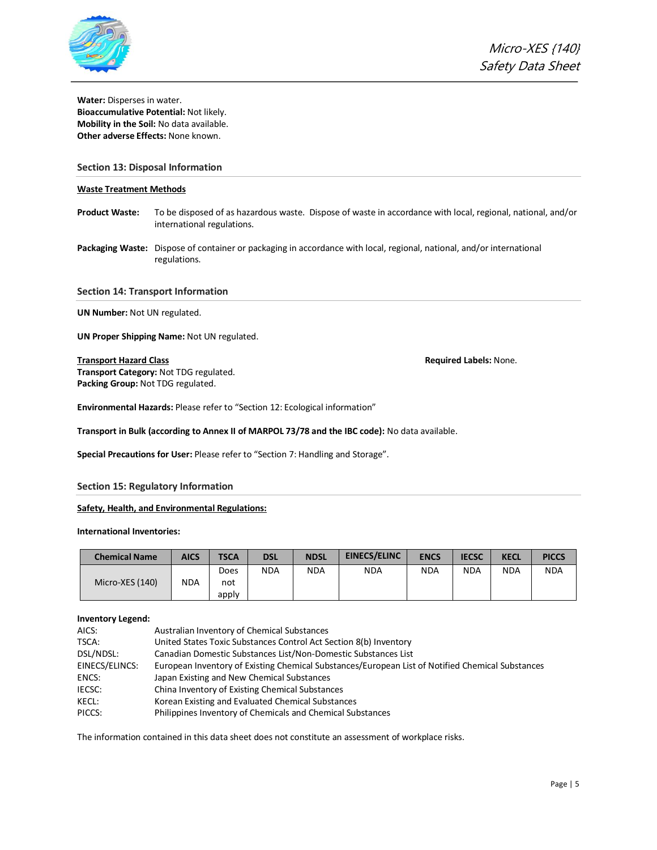

**Water:** Disperses in water. **Bioaccumulative Potential:** Not likely. **Mobility in the Soil:** No data available. **Other adverse Effects:** None known.

# **Section 13: Disposal Information**

## **Waste Treatment Methods**

- **Product Waste:** To be disposed of as hazardous waste. Dispose of waste in accordance with local, regional, national, and/or international regulations.
- **Packaging Waste:** Dispose of container or packaging in accordance with local, regional, national, and/or international regulations.

**Section 14: Transport Information**

**UN Number:** Not UN regulated.

**UN Proper Shipping Name:** Not UN regulated.

# **Transport Hazard Class Required Labels:** None.

**Transport Category:** Not TDG regulated. **Packing Group:** Not TDG regulated.

**Environmental Hazards:** Please refer to "Section 12: Ecological information"

**Transport in Bulk (according to Annex II of MARPOL 73/78 and the IBC code):** No data available.

**Special Precautions for User:** Please refer to "Section 7: Handling and Storage".

## **Section 15: Regulatory Information**

# **Safety, Health, and Environmental Regulations:**

**International Inventories:**

| <b>Chemical Name</b> | <b>AICS</b> | <b>TSCA</b> | <b>DSL</b> | <b>NDSL</b> | <b>EINECS/ELINC</b> | <b>ENCS</b> | <b>IECSC</b> | <b>KECL</b> | <b>PICCS</b> |
|----------------------|-------------|-------------|------------|-------------|---------------------|-------------|--------------|-------------|--------------|
|                      |             | Does        | <b>NDA</b> | <b>NDA</b>  | <b>NDA</b>          | <b>NDA</b>  | <b>NDA</b>   | <b>NDA</b>  | <b>NDA</b>   |
| Micro-XES (140)      | NDA         | not         |            |             |                     |             |              |             |              |
|                      |             | apply       |            |             |                     |             |              |             |              |

## **Inventory Legend:**

| AICS:          | Australian Inventory of Chemical Substances                                                      |
|----------------|--------------------------------------------------------------------------------------------------|
| TSCA:          | United States Toxic Substances Control Act Section 8(b) Inventory                                |
| DSL/NDSL:      | Canadian Domestic Substances List/Non-Domestic Substances List                                   |
| EINECS/ELINCS: | European Inventory of Existing Chemical Substances/European List of Notified Chemical Substances |
| ENCS:          | Japan Existing and New Chemical Substances                                                       |
| <b>IECSC:</b>  | China Inventory of Existing Chemical Substances                                                  |
| KECL:          | Korean Existing and Evaluated Chemical Substances                                                |
| PICCS:         | Philippines Inventory of Chemicals and Chemical Substances                                       |

The information contained in this data sheet does not constitute an assessment of workplace risks.